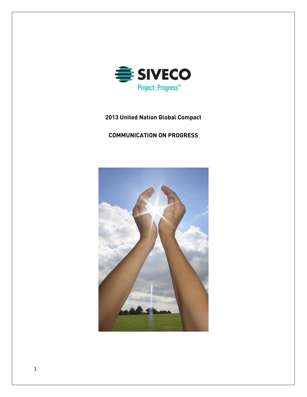

# **United Nation Global Compact**

# **COMMUNICATION ON PROGRESS**

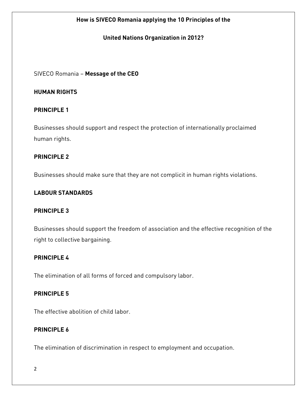# **How is SIVECO Romania applying the 10 Principles of the**

## **United Nations Organization in 2012?**

## SIVECO Romania – **Message of the CEO**

## **HUMAN RIGHTS**

## **PRINCIPLE 1**

Businesses should support and respect the protection of internationally proclaimed human rights.

## **PRINCIPLE 2**

Businesses should make sure that they are not complicit in human rights violations.

### **LABOUR STANDARDS**

### **PRINCIPLE 3**

Businesses should support the freedom of association and the effective recognition of the right to collective bargaining.

# **PRINCIPLE 4**

The elimination of all forms of forced and compulsory labor.

# **PRINCIPLE 5**

The effective abolition of child labor.

## **PRINCIPLE 6**

The elimination of discrimination in respect to employment and occupation.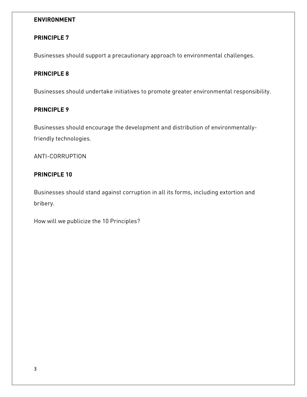# **ENVIRONMENT**

# **PRINCIPLE 7**

Businesses should support a precautionary approach to environmental challenges.

## **PRINCIPLE 8**

Businesses should undertake initiatives to promote greater environmental responsibility.

# **PRINCIPLE 9**

Businesses should encourage the development and distribution of environmentallyfriendly technologies.

ANTI-CORRUPTION

# **PRINCIPLE 10**

Businesses should stand against corruption in all its forms, including extortion and bribery.

How will we publicize the 10 Principles?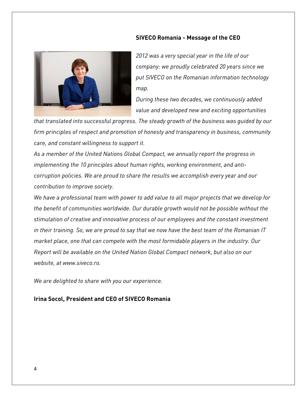#### **SIVECO Romania - Message of the CEO**



*2012 was a very special year in the life of our company: we proudly celebrated 20 years since we put SIVECO on the Romanian information technology map.*

*During these two decades, we continuously added value and developed new and exciting opportunities* 

*that translated into successful progress. The steady growth of the business was guided by our firm principles of respect and promotion of honesty and transparency in business, community care, and constant willingness to support it.*

*As a member of the United Nations Global Compact, we annually report the progress in implementing the 10 principles about human rights, working environment, and anticorruption policies. We are proud to share the results we accomplish every year and our contribution to improve society.*

*We have a professional team with power to add value to all major projects that we develop for the benefit of communities worldwide. Our durable growth would not be possible without the stimulation of creative and innovative process of our employees and the constant investment in their training. So, we are proud to say that we now have the best team of the Romanian IT market place, one that can compete with the most formidable players in the industry. Our Report will be available on the United Nation Global Compact network, but also on our website, at [www.siveco.ro.](http://www.siveco.ro/)*

*We are delighted to share with you our experience.*

**Irina Socol, President and CEO of SIVECO Romania**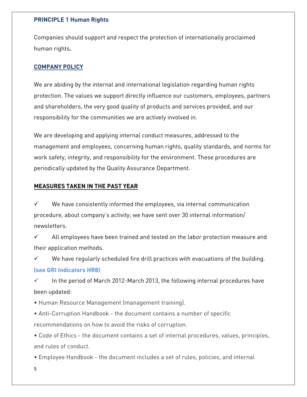## **PRINCIPLE 1 Human Rights**

Companies should support and respect the protection of internationally proclaimed human rights**.**

# **COMPANY POLICY**

We are abiding by the internal and international legislation regarding human rights protection. The values we support directly influence our customers, employees, partners and shareholders, the very good quality of products and services provided, and our responsibility for the communities we are actively involved in.

We are developing and applying internal conduct measures, addressed to the management and employees, concerning human rights, quality standards, and norms for work safety, integrity, and responsibility for the environment. These procedures are periodically updated by the Quality Assurance Department.

# **MEASURES TAKEN IN THE PAST YEAR**

 $\checkmark$  We have consistently informed the employees, via internal communication procedure, about company's activity; we have sent over 30 internal information/ newsletters.

 All employees have been trained and tested on the labor protection measure and their application methods.

 $\checkmark$  We have regularly scheduled fire drill practices with evacuations of the building. **(see GRI Indicators HR8)**

 $\checkmark$  In the period of March 2012-March 2013, the following internal procedures have been updated:

• Human Resource Management (management training).

• Anti-Corruption Handbook - the document contains a number of specific recommendations on how to avoid the risks of corruption.

• Code of Ethics - the document contains a set of internal procedures, values, principles, and rules of conduct.

• Employee Handbook - the document includes a set of rules, policies, and internal

5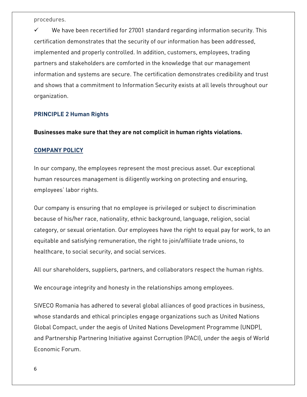procedures.

 We have been recertified for 27001 standard regarding information security. This certification demonstrates that the security of our information has been addressed, implemented and properly controlled. In addition, customers, employees, trading partners and stakeholders are comforted in the knowledge that our management information and systems are secure. The certification demonstrates credibility and trust and shows that a commitment to Information Security exists at all levels throughout our organization.

#### **PRINCIPLE 2 Human Rights**

**Businesses make sure that they are not complicit in human rights violations.** 

### **COMPANY POLICY**

In our company, the employees represent the most precious asset. Our exceptional human resources management is diligently working on protecting and ensuring, employees' labor rights.

Our company is ensuring that no employee is privileged or subject to discrimination because of his/her race, nationality, ethnic background, language, religion, social category, or sexual orientation. Our employees have the right to equal pay for work, to an equitable and satisfying remuneration, the right to join/affiliate trade unions, to healthcare, to social security, and social services.

All our shareholders, suppliers, partners, and collaborators respect the human rights.

We encourage integrity and honesty in the relationships among employees.

SIVECO Romania has adhered to several global alliances of good practices in business, whose standards and ethical principles engage organizations such as United Nations Global Compact, under the aegis of United Nations Development Programme (UNDP), and Partnership Partnering Initiative against Corruption (PACI), under the aegis of World Economic Forum.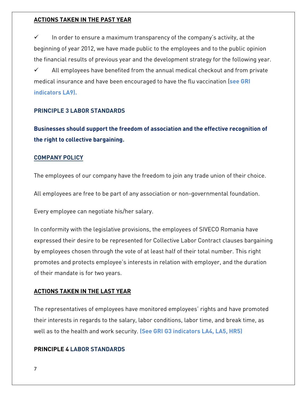### **ACTIONS TAKEN IN THE PAST YEAR**

 $\checkmark$  In order to ensure a maximum transparency of the company's activity, at the beginning of year 2012, we have made public to the employees and to the public opinion the financial results of previous year and the development strategy for the following year. All employees have benefited from the annual medical checkout and from private medical insurance and have been encouraged to have the flu vaccination (**see GRI indicators LA9).**

## **PRINCIPLE 3 LABOR STANDARDS**

**Businesses should support the freedom of association and the effective recognition of the right to collective bargaining.**

#### **COMPANY POLICY**

The employees of our company have the freedom to join any trade union of their choice.

All employees are free to be part of any association or non-governmental foundation.

Every employee can negotiate his/her salary.

In conformity with the legislative provisions, the employees of SIVECO Romania have expressed their desire to be represented for Collective Labor Contract clauses bargaining by employees chosen through the vote of at least half of their total number. This right promotes and protects employee's interests in relation with employer, and the duration of their mandate is for two years.

#### **ACTIONS TAKEN IN THE LAST YEAR**

The representatives of employees have monitored employees' rights and have promoted their interests in regards to the salary, labor conditions, labor time, and break time, as well as to the health and work security. **(See GRI G3 indicators LA4, LA5, HR5)**

#### **PRINCIPLE 4 LABOR STANDARDS**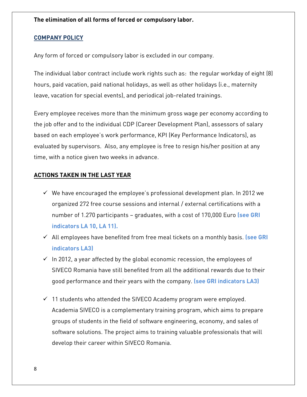**The elimination of all forms of forced or compulsory labor.**

### **COMPANY POLICY**

Any form of forced or compulsory labor is excluded in our company.

The individual labor contract include work rights such as: the regular workday of eight (8) hours, paid vacation, paid national holidays, as well as other holidays (i.e., maternity leave, vacation for special events), and periodical job-related trainings.

Every employee receives more than the minimum gross wage per economy according to the job offer and to the individual CDP (Career Development Plan), assessors of salary based on each employee's work performance, KPI (Key Performance Indicators), as evaluated by supervisors. Also, any employee is free to resign his/her position at any time, with a notice given two weeks in advance.

## **ACTIONS TAKEN IN THE LAST YEAR**

- $\checkmark$  We have encouraged the employee's professional development plan. In 2012 we organized 272 free course sessions and internal / external certifications with a number of 1.270 participants – graduates, with a cost of 170,000 Euro **(see GRI indicators LA 10, LA 11).**
- All employees have benefited from free meal tickets on a monthly basis. **(see GRI indicators LA3)**
- $\checkmark$  In 2012, a year affected by the global economic recession, the employees of SIVECO Romania have still benefited from all the additional rewards due to their good performance and their years with the company. **(see GRI indicators LA3)**
- $\checkmark$  11 students who attended the SIVECO Academy program were employed. Academia SIVECO is a complementary training program, which aims to prepare groups of students in the field of software engineering, economy, and sales of software solutions. The project aims to training valuable professionals that will develop their career within SIVECO Romania.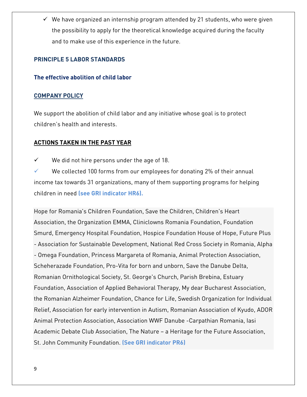$\checkmark$  We have organized an internship program attended by 21 students, who were given the possibility to apply for the theoretical knowledge acquired during the faculty and to make use of this experience in the future.

## **PRINCIPLE 5 LABOR STANDARDS**

### **The effective abolition of child labor**

#### **COMPANY POLICY**

We support the abolition of child labor and any initiative whose goal is to protect children's health and interests.

# **ACTIONS TAKEN IN THE PAST YEAR**

- $\checkmark$  We did not hire persons under the age of 18.
- We collected 100 forms from our employees for donating 2% of their annual income tax towards 31 organizations, many of them supporting programs for helping children in need **(see GRI indicator HR6).**

Hope for Romania's Children Foundation, Save the Children, Children's Heart Association, the Organization EMMA, Cliniclowns Romania Foundation, Foundation Smurd, Emergency Hospital Foundation, Hospice Foundation House of Hope, Future Plus - Association for Sustainable Development, National Red Cross Society in Romania, Alpha - Omega Foundation, Princess Margareta of Romania, Animal Protection Association, Scheherazade Foundation, Pro-Vita for born and unborn, Save the Danube Delta, Romanian Ornithological Society, St. George's Church, Parish Brebina, Estuary Foundation, Association of Applied Behavioral Therapy, My dear Bucharest Association, the Romanian Alzheimer Foundation, Chance for Life, Swedish Organization for Individual Relief, Association for early intervention in Autism, Romanian Association of Kyudo, ADOR Animal Protection Association, Association WWF Danube -Carpathian Romania, Iasi Academic Debate Club Association, The Nature – a Heritage for the Future Association, St. John Community Foundation. **(See GRI indicator PR6)**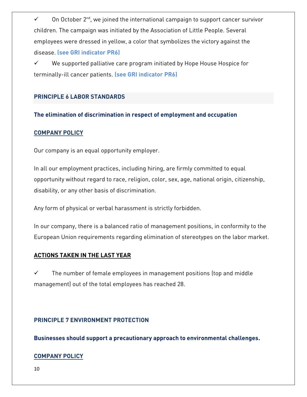$\checkmark$  . On October 2<sup>nd</sup>, we joined the international campaign to support cancer survivor children. The campaign was initiated by the Association of Little People. Several employees were dressed in yellow, a color that symbolizes the victory against the disease. **(see GRI indicator PR6)**

 $\checkmark$  We supported palliative care program initiated by Hope House Hospice for terminally-ill cancer patients. **(see GRI indicator PR6)**

# **PRINCIPLE 6 LABOR STANDARDS**

### **The elimination of discrimination in respect of employment and occupation**

#### **COMPANY POLICY**

Our company is an equal opportunity employer.

In all our employment practices, including hiring, are firmly committed to equal opportunity without regard to race, religion, color, sex, age, national origin, citizenship, disability, or any other basis of discrimination.

Any form of physical or verbal harassment is strictly forbidden.

In our company, there is a balanced ratio of management positions, in conformity to the European Union requirements regarding elimination of stereotypes on the labor market.

#### **ACTIONS TAKEN IN THE LAST YEAR**

 $\checkmark$  The number of female employees in management positions (top and middle management) out of the total employees has reached 28.

### **PRINCIPLE 7 ENVIRONMENT PROTECTION**

**Businesses should support a precautionary approach to environmental challenges.**

#### **COMPANY POLICY**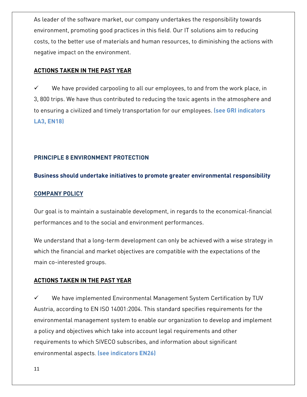As leader of the software market, our company undertakes the responsibility towards environment, promoting good practices in this field. Our IT solutions aim to reducing costs, to the better use of materials and human resources, to diminishing the actions with negative impact on the environment.

## **ACTIONS TAKEN IN THE PAST YEAR**

 $\checkmark$  We have provided carpooling to all our employees, to and from the work place, in 3, 800 trips. We have thus contributed to reducing the toxic agents in the atmosphere and to ensuring a civilized and timely transportation for our employees. **(see GRI indicators LA3, EN18)**

### **PRINCIPLE 8 ENVIRONMENT PROTECTION**

#### **Business should undertake initiatives to promote greater environmental responsibility**

#### **COMPANY POLICY**

Our goal is to maintain a sustainable development, in regards to the economical-financial performances and to the social and environment performances.

We understand that a long-term development can only be achieved with a wise strategy in which the financial and market objectives are compatible with the expectations of the main co-interested groups.

### **ACTIONS TAKEN IN THE PAST YEAR**

 We have implemented Environmental Management System Certification by TUV Austria, according to EN ISO 14001:2004. This standard specifies requirements for the environmental management system to enable our organization to develop and implement a policy and objectives which take into account legal requirements and other requirements to which SIVECO subscribes, and information about significant environmental aspects. **(see indicators EN26)**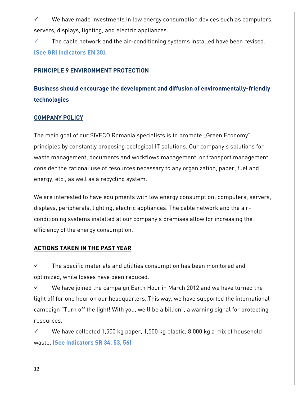$\checkmark$  We have made investments in low energy consumption devices such as computers, servers, displays, lighting, and electric appliances.

 $\checkmark$  The cable network and the air-conditioning systems installed have been revised. **(See GRI indicators EN 30).**

### **PRINCIPLE 9 ENVIRONMENT PROTECTION**

**Business should encourage the development and diffusion of environmentally-friendly technologies**

#### **COMPANY POLICY**

The main goal of our SIVECO Romania specialists is to promote "Green Economy" principles by constantly proposing ecological IT solutions. Our company's solutions for waste management, documents and workflows management, or transport management consider the rational use of resources necessary to any organization, paper, fuel and energy, etc., as well as a recycling system.

We are interested to have equipments with low energy consumption: computers, servers, displays, peripherals, lighting, electric appliances. The cable network and the airconditioning systems installed at our company's premises allow for increasing the efficiency of the energy consumption.

#### **ACTIONS TAKEN IN THE PAST YEAR**

 $\checkmark$  The specific materials and utilities consumption has been monitored and optimized, while losses have been reduced.

 We have joined the campaign Earth Hour in March 2012 and we have turned the light off for one hour on our headquarters. This way, we have supported the international campaign "Turn off the light! With you, we'll be a billion", a warning signal for protecting resources.

 We have collected 1,500 kg paper, 1,500 kg plastic, 8,000 kg a mix of household waste. **(See indicators SR 34, 53, 56)**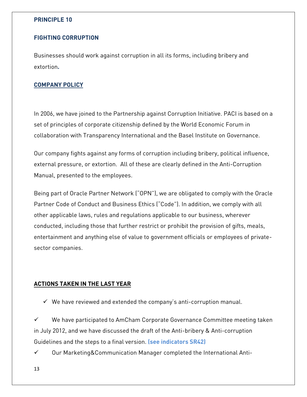## **PRINCIPLE 10**

#### **FIGHTING CORRUPTION**

Businesses should work against corruption in all its forms, including bribery and extortion**.** 

## **COMPANY POLICY**

In 2006, we have joined to the Partnership against Corruption Initiative. PACI is based on a set of principles of corporate citizenship defined by the World Economic Forum in collaboration with Transparency International and the Basel Institute on Governance.

Our company fights against any forms of corruption including bribery, political influence, external pressure, or extortion. All of these are clearly defined in the Anti-Corruption Manual, presented to the employees.

Being part of Oracle Partner Network ("OPN"), we are obligated to comply with the Oracle Partner Code of Conduct and Business Ethics ("Code"). In addition, we comply with all other applicable laws, rules and regulations applicable to our business, wherever conducted, including those that further restrict or prohibit the provision of gifts, meals, entertainment and anything else of value to government officials or employees of privatesector companies.

### **ACTIONS TAKEN IN THE LAST YEAR**

 $\checkmark$  We have reviewed and extended the company's anti-corruption manual.

 We have participated to AmCham Corporate Governance Committee meeting taken in July 2012, and we have discussed the draft of the Anti-bribery & Anti-corruption Guidelines and the steps to a final version. **(see indicators SR42)**

 $\checkmark$  Our Marketing&Communication Manager completed the International Anti-